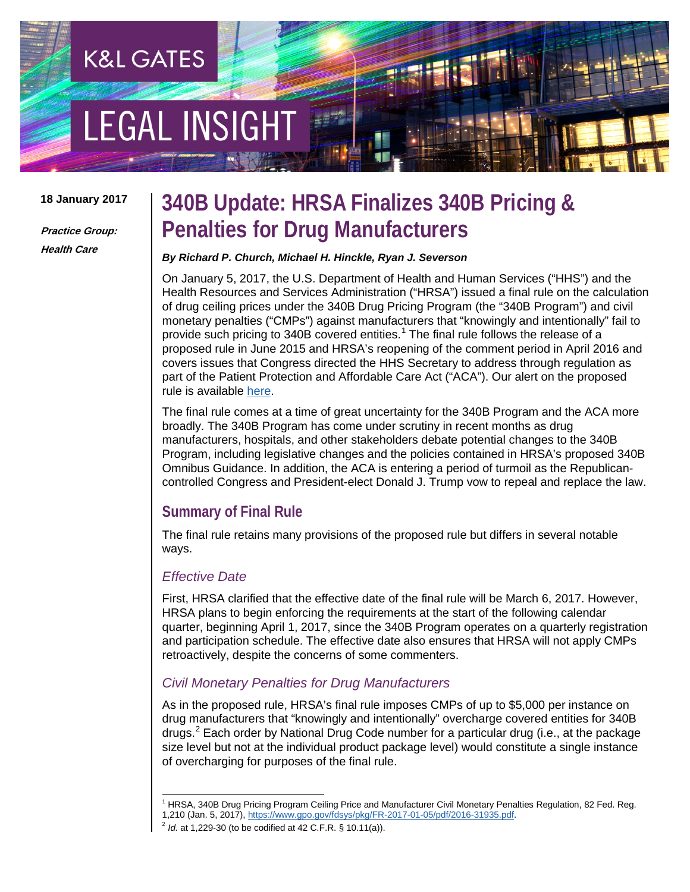# **EGAL INSIGHT**

**K&L GATES** 

#### **18 January 2017**

**Practice Group: Health Care**

### **340B Update: HRSA Finalizes 340B Pricing & Penalties for Drug Manufacturers**

#### *By Richard P. Church, Michael H. Hinckle, Ryan J. Severson*

On January 5, 2017, the U.S. Department of Health and Human Services ("HHS") and the Health Resources and Services Administration ("HRSA") issued a final rule on the calculation of drug ceiling prices under the 340B Drug Pricing Program (the "340B Program") and civil monetary penalties ("CMPs") against manufacturers that "knowingly and intentionally" fail to provide such pricing to 340B covered entities.<sup>[1](#page-0-0)</sup> The final rule follows the release of a proposed rule in June 2015 and HRSA's reopening of the comment period in April 2016 and covers issues that Congress directed the HHS Secretary to address through regulation as part of the Patient Protection and Affordable Care Act ("ACA"). Our alert on the proposed rule is available [here.](http://www.klgates.com/340b-update-hrsa-proposes-penalties-for-drug-manufacturers-that-overcharge-covered-entities-06-22-2015/)

The final rule comes at a time of great uncertainty for the 340B Program and the ACA more broadly. The 340B Program has come under scrutiny in recent months as drug manufacturers, hospitals, and other stakeholders debate potential changes to the 340B Program, including legislative changes and the policies contained in HRSA's proposed 340B Omnibus Guidance. In addition, the ACA is entering a period of turmoil as the Republicancontrolled Congress and President-elect Donald J. Trump vow to repeal and replace the law.

#### **Summary of Final Rule**

The final rule retains many provisions of the proposed rule but differs in several notable ways.

#### *Effective Date*

First, HRSA clarified that the effective date of the final rule will be March 6, 2017. However, HRSA plans to begin enforcing the requirements at the start of the following calendar quarter, beginning April 1, 2017, since the 340B Program operates on a quarterly registration and participation schedule. The effective date also ensures that HRSA will not apply CMPs retroactively, despite the concerns of some commenters.

#### *Civil Monetary Penalties for Drug Manufacturers*

As in the proposed rule, HRSA's final rule imposes CMPs of up to \$5,000 per instance on drug manufacturers that "knowingly and intentionally" overcharge covered entities for 340B drugs.<sup>[2](#page-0-1)</sup> Each order by National Drug Code number for a particular drug (i.e., at the package size level but not at the individual product package level) would constitute a single instance of overcharging for purposes of the final rule.

<span id="page-0-0"></span><sup>&</sup>lt;sup>1</sup> HRSA, 340B Drug Pricing Program Ceiling Price and Manufacturer Civil Monetary Penalties Regulation, 82 Fed. Reg. 1,210 (Jan. 5, 2017), [https://www.gpo.gov/fdsys/pkg/FR-2017-01-05/pdf/2016-31935.pdf.](https://www.gpo.gov/fdsys/pkg/FR-2017-01-05/pdf/2016-31935.pdf) 2 *Id.* at 1,229-30 (to be codified at 42 C.F.R. § 10.11(a)).

<span id="page-0-1"></span>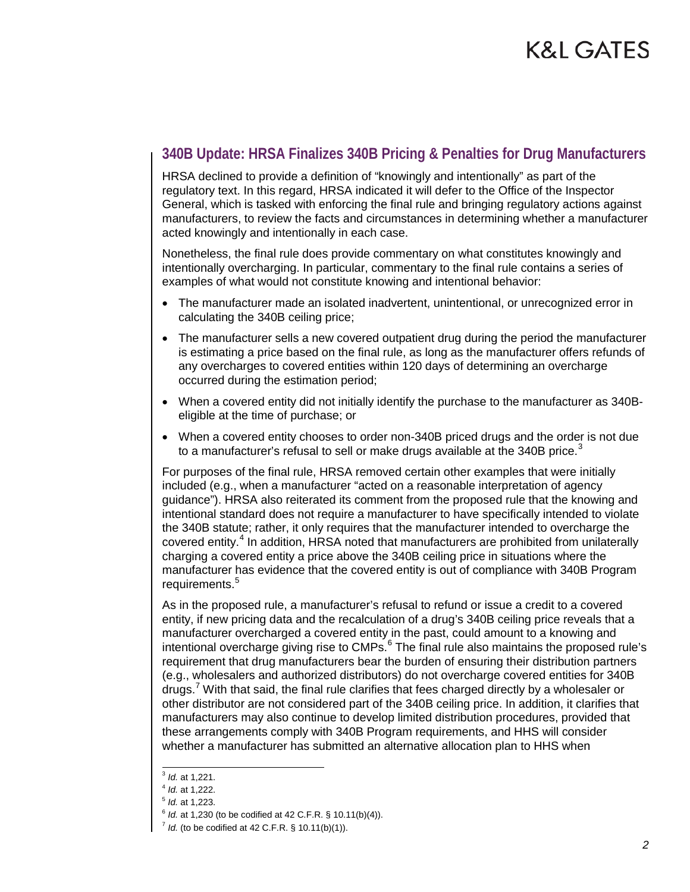#### **340B Update: HRSA Finalizes 340B Pricing & Penalties for Drug Manufacturers**

HRSA declined to provide a definition of "knowingly and intentionally" as part of the regulatory text. In this regard, HRSA indicated it will defer to the Office of the Inspector General, which is tasked with enforcing the final rule and bringing regulatory actions against manufacturers, to review the facts and circumstances in determining whether a manufacturer acted knowingly and intentionally in each case.

Nonetheless, the final rule does provide commentary on what constitutes knowingly and intentionally overcharging. In particular, commentary to the final rule contains a series of examples of what would not constitute knowing and intentional behavior:

- The manufacturer made an isolated inadvertent, unintentional, or unrecognized error in calculating the 340B ceiling price;
- The manufacturer sells a new covered outpatient drug during the period the manufacturer is estimating a price based on the final rule, as long as the manufacturer offers refunds of any overcharges to covered entities within 120 days of determining an overcharge occurred during the estimation period;
- When a covered entity did not initially identify the purchase to the manufacturer as 340Beligible at the time of purchase; or
- When a covered entity chooses to order non-340B priced drugs and the order is not due to a manufacturer's refusal to sell or make drugs available at the [3](#page-1-0)40B price.<sup>3</sup>

For purposes of the final rule, HRSA removed certain other examples that were initially included (e.g., when a manufacturer "acted on a reasonable interpretation of agency guidance"). HRSA also reiterated its comment from the proposed rule that the knowing and intentional standard does not require a manufacturer to have specifically intended to violate the 340B statute; rather, it only requires that the manufacturer intended to overcharge the covered entity.<sup>[4](#page-1-1)</sup> In addition, HRSA noted that manufacturers are prohibited from unilaterally charging a covered entity a price above the 340B ceiling price in situations where the manufacturer has evidence that the covered entity is out of compliance with 340B Program requirements.<sup>[5](#page-1-2)</sup>

As in the proposed rule, a manufacturer's refusal to refund or issue a credit to a covered entity, if new pricing data and the recalculation of a drug's 340B ceiling price reveals that a manufacturer overcharged a covered entity in the past, could amount to a knowing and intentional overcharge giving rise to CMPs.<sup>[6](#page-1-3)</sup> The final rule also maintains the proposed rule's requirement that drug manufacturers bear the burden of ensuring their distribution partners (e.g., wholesalers and authorized distributors) do not overcharge covered entities for 340B drugs. With that said, the final rule clarifies that fees charged directly by a wholesaler or other distributor are not considered part of the 340B ceiling price. In addition, it clarifies that manufacturers may also continue to develop limited distribution procedures, provided that these arrangements comply with 340B Program requirements, and HHS will consider whether a manufacturer has submitted an alternative allocation plan to HHS when

<span id="page-1-0"></span> <sup>3</sup> *Id.* at 1,221.

<sup>4</sup> *Id.* at 1,222.

<span id="page-1-4"></span><span id="page-1-3"></span><span id="page-1-2"></span><span id="page-1-1"></span><sup>5</sup> *Id.* at 1,223.

<sup>6</sup> *Id.* at 1,230 (to be codified at 42 C.F.R. § 10.11(b)(4)).

 $7$  *Id.* (to be codified at 42 C.F.R. § 10.11(b)(1)).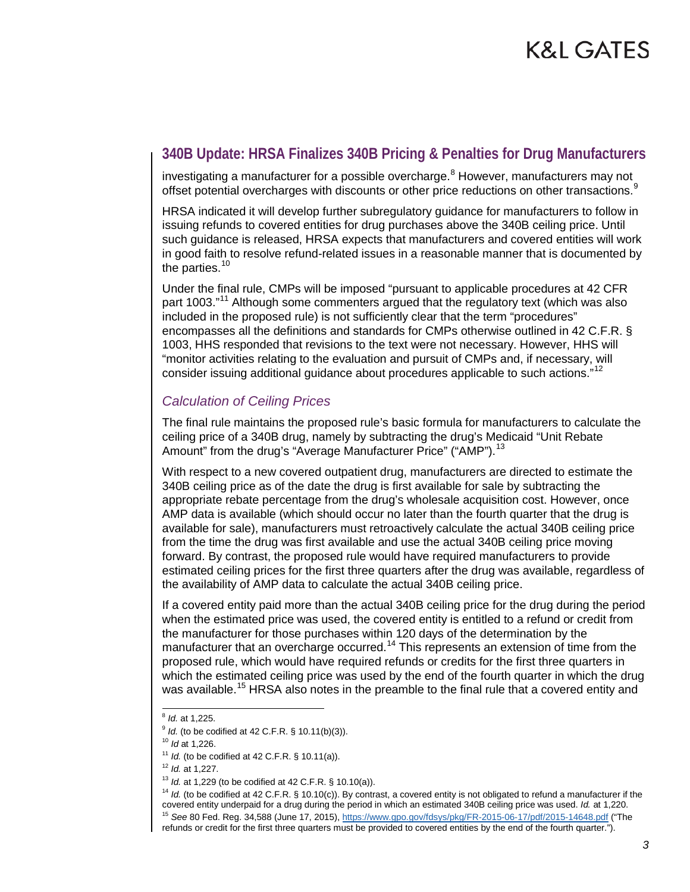#### **340B Update: HRSA Finalizes 340B Pricing & Penalties for Drug Manufacturers**

investigating a manufacturer for a possible overcharge. $8$  However, manufacturers may not offset potential overcharges with discounts or other price reductions on other transactions.<sup>[9](#page-2-1)</sup>

HRSA indicated it will develop further subregulatory guidance for manufacturers to follow in issuing refunds to covered entities for drug purchases above the 340B ceiling price. Until such guidance is released, HRSA expects that manufacturers and covered entities will work in good faith to resolve refund-related issues in a reasonable manner that is documented by the parties. $10$ 

Under the final rule, CMPs will be imposed "pursuant to applicable procedures at 42 CFR part 1003."<sup>[11](#page-2-3)</sup> Although some commenters argued that the regulatory text (which was also included in the proposed rule) is not sufficiently clear that the term "procedures" encompasses all the definitions and standards for CMPs otherwise outlined in 42 C.F.R. § 1003, HHS responded that revisions to the text were not necessary. However, HHS will "monitor activities relating to the evaluation and pursuit of CMPs and, if necessary, will consider issuing additional guidance about procedures applicable to such actions."<sup>[12](#page-2-4)</sup>

#### *Calculation of Ceiling Prices*

The final rule maintains the proposed rule's basic formula for manufacturers to calculate the ceiling price of a 340B drug, namely by subtracting the drug's Medicaid "Unit Rebate Amount" from the drug's "Average Manufacturer Price" ("AMP").<sup>[13](#page-2-5)</sup>

With respect to a new covered outpatient drug, manufacturers are directed to estimate the 340B ceiling price as of the date the drug is first available for sale by subtracting the appropriate rebate percentage from the drug's wholesale acquisition cost. However, once AMP data is available (which should occur no later than the fourth quarter that the drug is available for sale), manufacturers must retroactively calculate the actual 340B ceiling price from the time the drug was first available and use the actual 340B ceiling price moving forward. By contrast, the proposed rule would have required manufacturers to provide estimated ceiling prices for the first three quarters after the drug was available, regardless of the availability of AMP data to calculate the actual 340B ceiling price.

If a covered entity paid more than the actual 340B ceiling price for the drug during the period when the estimated price was used, the covered entity is entitled to a refund or credit from the manufacturer for those purchases within 120 days of the determination by the manufacturer that an overcharge occurred.<sup>[14](#page-2-6)</sup> This represents an extension of time from the proposed rule, which would have required refunds or credits for the first three quarters in which the estimated ceiling price was used by the end of the fourth quarter in which the drug was available.<sup>[15](#page-2-7)</sup> HRSA also notes in the preamble to the final rule that a covered entity and

<span id="page-2-6"></span><sup>14</sup> *Id.* (to be codified at 42 C.F.R. § 10.10(c)). By contrast, a covered entity is not obligated to refund a manufacturer if the covered entity underpaid for a drug during the period in which an estimated 340B ceiling price was used. *Id.* at 1,220.

 <sup>8</sup> *Id.* at 1,225.

<span id="page-2-2"></span><span id="page-2-1"></span><span id="page-2-0"></span><sup>&</sup>lt;sup>9</sup> *Id.* (to be codified at 42 C.F.R. § 10.11(b)(3)).

<sup>10</sup> *Id* at 1,226.

<sup>&</sup>lt;sup>11</sup> *Id.* (to be codified at 42 C.F.R. § 10.11(a)).

<span id="page-2-4"></span><span id="page-2-3"></span><sup>12</sup> *Id.* at 1,227.

<span id="page-2-5"></span><sup>13</sup> *Id.* at 1,229 (to be codified at 42 C.F.R. § 10.10(a)).

<span id="page-2-7"></span><sup>15</sup> *See* 80 Fed. Reg. 34,588 (June 17, 2015), <https://www.gpo.gov/fdsys/pkg/FR-2015-06-17/pdf/2015-14648.pdf> ("The refunds or credit for the first three quarters must be provided to covered entities by the end of the fourth quarter.").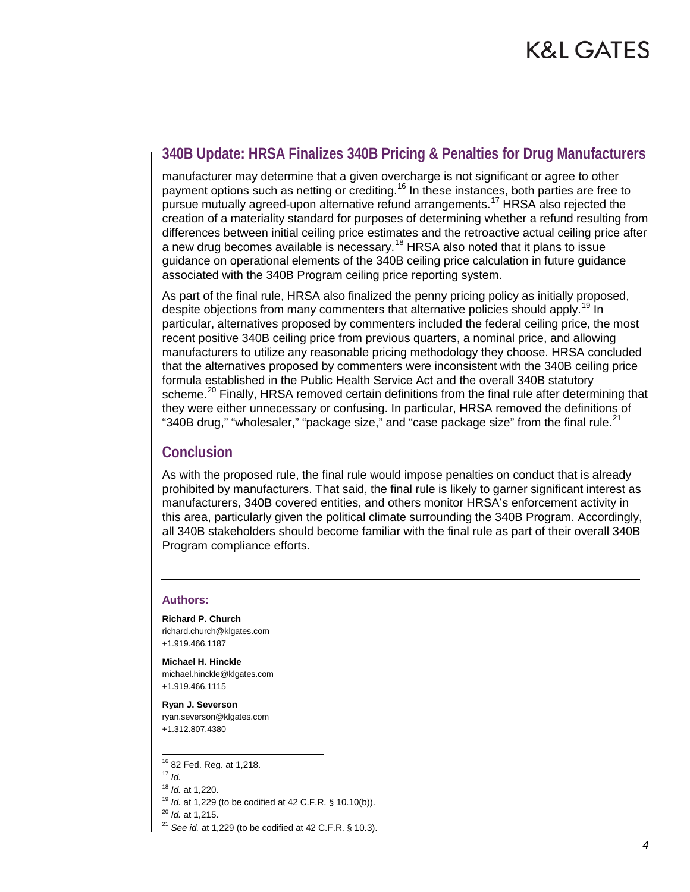#### **340B Update: HRSA Finalizes 340B Pricing & Penalties for Drug Manufacturers**

manufacturer may determine that a given overcharge is not significant or agree to other payment options such as netting or crediting.<sup>[16](#page-3-0)</sup> In these instances, both parties are free to pursue mutually agreed-upon alternative refund arrangements.<sup>[17](#page-3-1)</sup> HRSA also rejected the creation of a materiality standard for purposes of determining whether a refund resulting from differences between initial ceiling price estimates and the retroactive actual ceiling price after a new drug becomes available is necessary.<sup>[18](#page-3-2)</sup> HRSA also noted that it plans to issue guidance on operational elements of the 340B ceiling price calculation in future guidance associated with the 340B Program ceiling price reporting system.

As part of the final rule, HRSA also finalized the penny pricing policy as initially proposed, despite objections from many commenters that alternative policies should apply.<sup>[19](#page-3-3)</sup> In particular, alternatives proposed by commenters included the federal ceiling price, the most recent positive 340B ceiling price from previous quarters, a nominal price, and allowing manufacturers to utilize any reasonable pricing methodology they choose. HRSA concluded that the alternatives proposed by commenters were inconsistent with the 340B ceiling price formula established in the Public Health Service Act and the overall 340B statutory scheme.<sup>[20](#page-3-4)</sup> Finally, HRSA removed certain definitions from the final rule after determining that they were either unnecessary or confusing. In particular, HRSA removed the definitions of "340B drug," "wholesaler," "package size," and "case package size" from the final rule. $21$ 

#### **Conclusion**

As with the proposed rule, the final rule would impose penalties on conduct that is already prohibited by manufacturers. That said, the final rule is likely to garner significant interest as manufacturers, 340B covered entities, and others monitor HRSA's enforcement activity in this area, particularly given the political climate surrounding the 340B Program. Accordingly, all 340B stakeholders should become familiar with the final rule as part of their overall 340B Program compliance efforts.

#### **Authors:**

**Richard P. Church** richard.church@klgates.com +1.919.466.1187

**Michael H. Hinckle** michael.hinckle@klgates.com +1.919.466.1115

**Ryan J. Severson** ryan.severson@klgates.com +1.312.807.4380

<span id="page-3-0"></span>16 82 Fed. Reg. at 1,218.

<span id="page-3-4"></span><sup>20</sup> *Id.* at 1,215.

<span id="page-3-1"></span> $17$  *Id.* 

<span id="page-3-2"></span><sup>18</sup> *Id.* at 1,220.

<span id="page-3-3"></span><sup>19</sup> *Id.* at 1,229 (to be codified at 42 C.F.R. § 10.10(b)).

<span id="page-3-5"></span><sup>21</sup> *See id.* at 1,229 (to be codified at 42 C.F.R. § 10.3).